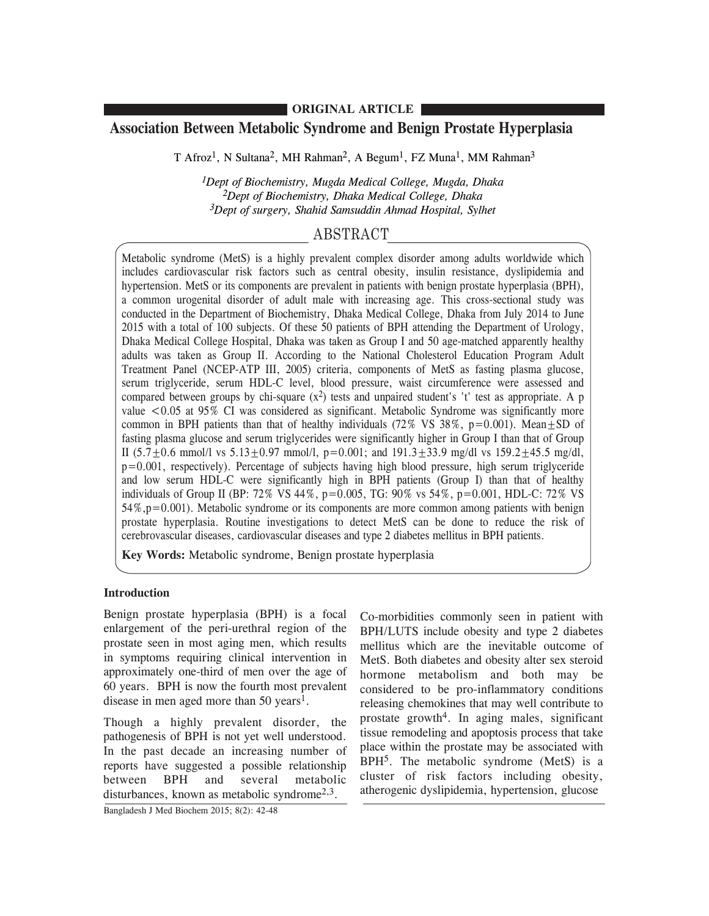# **ORIGINAL ARTICLE**

# **Association Between Metabolic Syndrome and Benign Prostate Hyperplasia**

T Afroz<sup>1</sup>, N Sultana<sup>2</sup>, MH Rahman<sup>2</sup>, A Begum<sup>1</sup>, FZ Muna<sup>1</sup>, MM Rahman<sup>3</sup>

*1Dept of Biochemistry, Mugda Medical College, Mugda, Dhaka 2Dept of Biochemistry, Dhaka Medical College, Dhaka 3Dept of surgery, Shahid Samsuddin Ahmad Hospital, Sylhet*

# ABSTRACT

Metabolic syndrome (MetS) is a highly prevalent complex disorder among adults worldwide which includes cardiovascular risk factors such as central obesity, insulin resistance, dyslipidemia and hypertension. MetS or its components are prevalent in patients with benign prostate hyperplasia (BPH), a common urogenital disorder of adult male with increasing age. This cross-sectional study was conducted in the Department of Biochemistry, Dhaka Medical College, Dhaka from July 2014 to June 2015 with a total of 100 subjects. Of these 50 patients of BPH attending the Department of Urology, Dhaka Medical College Hospital, Dhaka was taken as Group I and 50 age-matched apparently healthy adults was taken as Group II. According to the National Cholesterol Education Program Adult Treatment Panel (NCEP-ATP III, 2005) criteria, components of MetS as fasting plasma glucose, serum triglyceride, serum HDL-C level, blood pressure, waist circumference were assessed and compared between groups by chi-square  $(x^2)$  tests and unpaired student's 't' test as appropriate. A p value  $\leq 0.05$  at 95% CI was considered as significant. Metabolic Syndrome was significantly more common in BPH patients than that of healthy individuals (72% VS  $38\%$ , p=0.001). Mean $\pm$ SD of fasting plasma glucose and serum triglycerides were significantly higher in Group I than that of Group II (5.7 $\pm$ 0.6 mmol/l vs 5.13 $\pm$ 0.97 mmol/l, p=0.001; and 191.3 $\pm$ 33.9 mg/dl vs 159.2 $\pm$ 45.5 mg/dl, p=0.001, respectively). Percentage of subjects having high blood pressure, high serum triglyceride and low serum HDL-C were significantly high in BPH patients (Group I) than that of healthy individuals of Group II (BP: 72% VS 44%, p=0.005, TG:  $90\%$  vs 54%, p=0.001, HDL-C: 72% VS  $54\%$ ,  $p=0.001$ ). Metabolic syndrome or its components are more common among patients with benign prostate hyperplasia. Routine investigations to detect MetS can be done to reduce the risk of cerebrovascular diseases, cardiovascular diseases and type 2 diabetes mellitus in BPH patients.

**Key Words:** Metabolic syndrome, Benign prostate hyperplasia

### **Introduction**

Benign prostate hyperplasia (BPH) is a focal enlargement of the peri-urethral region of the prostate seen in most aging men, which results in symptoms requiring clinical intervention in approximately one-third of men over the age of 60 years. BPH is now the fourth most prevalent disease in men aged more than 50 years<sup>1</sup>.

Though a highly prevalent disorder, the pathogenesis of BPH is not yet well understood. In the past decade an increasing number of reports have suggested a possible relationship between BPH and several metabolic disturbances, known as metabolic syndrome<sup>2,3</sup>.

Co-morbidities commonly seen in patient with BPH/LUTS include obesity and type 2 diabetes mellitus which are the inevitable outcome of MetS. Both diabetes and obesity alter sex steroid hormone metabolism and both may be considered to be pro-inflammatory conditions releasing chemokines that may well contribute to prostate growth4. In aging males, significant tissue remodeling and apoptosis process that take place within the prostate may be associated with BPH5. The metabolic syndrome (MetS) is a cluster of risk factors including obesity, atherogenic dyslipidemia, hypertension, glucose

Bangladesh J Med Biochem 2015; 8(2): 42-48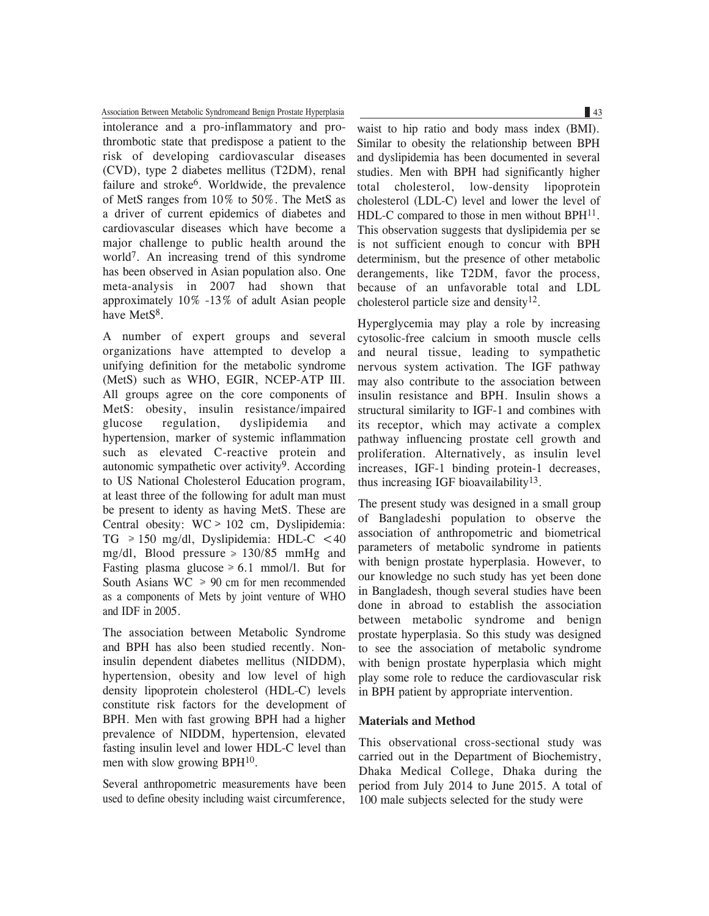Association Between Metabolic Syndromeand Benign Prostate Hyperplasia 43

intolerance and a pro-inflammatory and prothrombotic state that predispose a patient to the risk of developing cardiovascular diseases (CVD), type 2 diabetes mellitus (T2DM), renal failure and stroke<sup>6</sup>. Worldwide, the prevalence of MetS ranges from 10% to 50%. The MetS as a driver of current epidemics of diabetes and cardiovascular diseases which have become a major challenge to public health around the world7. An increasing trend of this syndrome has been observed in Asian population also. One meta-analysis in 2007 had shown that approximately 10% -13% of adult Asian people have Met<sub>S</sub><sup>8</sup>.

A number of expert groups and several organizations have attempted to develop a unifying definition for the metabolic syndrome (MetS) such as WHO, EGIR, NCEP-ATP III. All groups agree on the core components of MetS: obesity, insulin resistance/impaired glucose regulation, dyslipidemia and hypertension, marker of systemic inflammation such as elevated C-reactive protein and autonomic sympathetic over activity9. According to US National Cholesterol Education program, at least three of the following for adult man must be present to identy as having MetS. These are Central obesity:  $WC \ge 102$  cm, Dyslipidemia: TG  $\geq 150$  mg/dl, Dyslipidemia: HDL-C <40 mg/dl, Blood pressure  $\geq 130/85$  mmHg and Fasting plasma glucose  $\geq 6.1$  mmol/l. But for South Asians WC  $\geq$  90 cm for men recommended as a components of Mets by joint venture of WHO and IDF in 2005.

The association between Metabolic Syndrome and BPH has also been studied recently. Noninsulin dependent diabetes mellitus (NIDDM), hypertension, obesity and low level of high density lipoprotein cholesterol (HDL-C) levels constitute risk factors for the development of BPH. Men with fast growing BPH had a higher prevalence of NIDDM, hypertension, elevated fasting insulin level and lower HDL-C level than men with slow growing BPH10.

Several anthropometric measurements have been used to define obesity including waist circumference,

waist to hip ratio and body mass index (BMI). Similar to obesity the relationship between BPH and dyslipidemia has been documented in several studies. Men with BPH had significantly higher total cholesterol, low-density lipoprotein cholesterol (LDL-C) level and lower the level of HDL-C compared to those in men without BPH<sup>11</sup>. This observation suggests that dyslipidemia per se is not sufficient enough to concur with BPH determinism, but the presence of other metabolic derangements, like T2DM, favor the process, because of an unfavorable total and LDL cholesterol particle size and density $12$ .

Hyperglycemia may play a role by increasing cytosolic-free calcium in smooth muscle cells and neural tissue, leading to sympathetic nervous system activation. The IGF pathway may also contribute to the association between insulin resistance and BPH. Insulin shows a structural similarity to IGF-1 and combines with its receptor, which may activate a complex pathway influencing prostate cell growth and proliferation. Alternatively, as insulin level increases, IGF-1 binding protein-1 decreases, thus increasing IGF bioavailability<sup>13</sup>.

The present study was designed in a small group of Bangladeshi population to observe the association of anthropometric and biometrical parameters of metabolic syndrome in patients with benign prostate hyperplasia. However, to our knowledge no such study has yet been done in Bangladesh, though several studies have been done in abroad to establish the association between metabolic syndrome and benign prostate hyperplasia. So this study was designed to see the association of metabolic syndrome with benign prostate hyperplasia which might play some role to reduce the cardiovascular risk in BPH patient by appropriate intervention.

#### **Materials and Method**

This observational cross-sectional study was carried out in the Department of Biochemistry, Dhaka Medical College, Dhaka during the period from July 2014 to June 2015. A total of 100 male subjects selected for the study were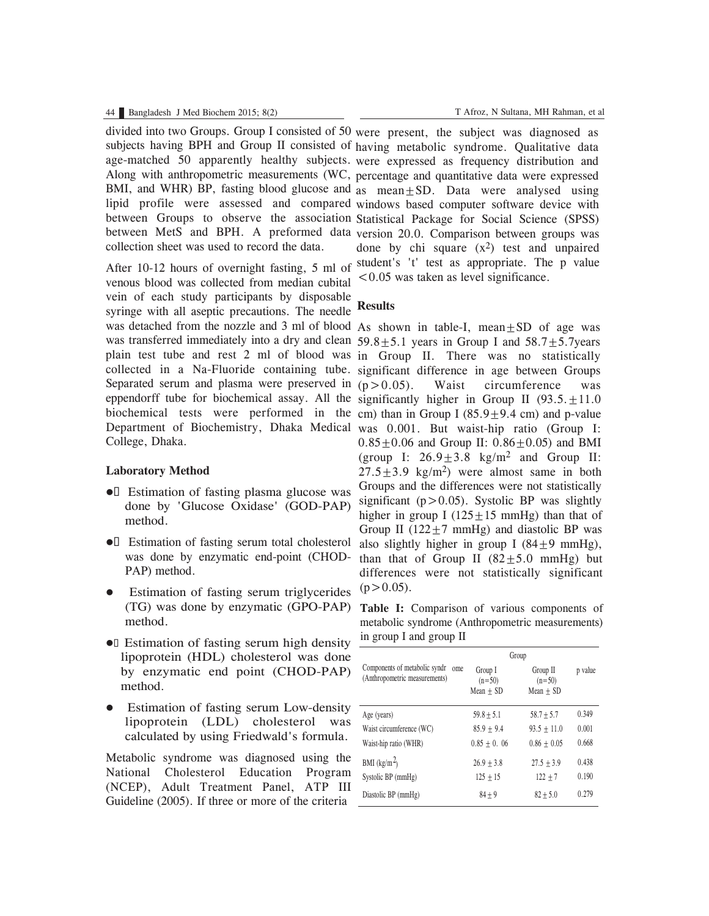#### 44 Bangladesh J Med Biochem 2015; 8(2) T Afroz, N Sultana, MH Rahman, et al

divided into two Groups. Group I consisted of 50 were present, the subject was diagnosed as subjects having BPH and Group II consisted of having metabolic syndrome. Qualitative data age-matched 50 apparently healthy subjects. were expressed as frequency distribution and Along with anthropometric measurements (WC, percentage and quantitative data were expressed BMI, and WHR) BP, fasting blood glucose and as  $mean \pm SD$ . Data were analysed using lipid profile were assessed and compared windows based computer software device with between Groups to observe the association Statistical Package for Social Science (SPSS) between MetS and BPH. A preformed data version 20.0. Comparison between groups was collection sheet was used to record the data.

venous blood was collected from median cubital  $\leq 0.05$  was taken as level significance. was detached from the nozzle and 3 ml of blood As shown in table-I, mean $\pm$ SD of age was was transferred immediately into a dry and clean  $59.8 \pm 5.1$  years in Group I and  $58.7 \pm 5.7$ years plain test tube and rest 2 ml of blood was in Group II. There was no statistically collected in a Na-Fluoride containing tube. significant difference in age between Groups eppendorff tube for biochemical assay. All the significantly higher in Group II  $(93.5 \pm 11.0)$ biochemical tests were performed in the cm) than in Group I (85.9 $\pm$ 9.4 cm) and p-value Department of Biochemistry, Dhaka Medical was 0.001. But waist-hip ratio (Group I: vein of each study participants by disposable syringe with all aseptic precautions. The needle Separated serum and plasma were preserved in  $(p > 0.05)$ . College, Dhaka.

### **Laboratory Method**

- Estimation of fasting plasma glucose was done by 'Glucose Oxidase' (GOD-PAP) method.
- Estimation of fasting serum total cholesterol was done by enzymatic end-point (CHOD-PAP) method.
- Estimation of fasting serum triglycerides (TG) was done by enzymatic (GPO-PAP) method.
- Estimation of fasting serum high density lipoprotein (HDL) cholesterol was done by enzymatic end point (CHOD-PAP) method.
- Estimation of fasting serum Low-density lipoprotein (LDL) cholesterol was calculated by using Friedwald's formula.

Metabolic syndrome was diagnosed using the National Cholesterol Education Program (NCEP), Adult Treatment Panel, ATP III Guideline (2005). If three or more of the criteria

done by chi square  $(x^2)$  test and unpaired After 10-12 hours of overnight fasting, 5 ml of student's 't' test as appropriate. The p value

### **Results**

Waist circumference was  $0.85 + 0.06$  and Group II:  $0.86 + 0.05$  and BMI (group I:  $26.9 \pm 3.8$  kg/m<sup>2</sup> and Group II:  $27.5 \pm 3.9$  kg/m<sup>2</sup>) were almost same in both Groups and the differences were not statistically significant  $(p>0.05)$ . Systolic BP was slightly higher in group I ( $125 \pm 15$  mmHg) than that of Group II  $(122+7 \text{ mmHg})$  and diastolic BP was also slightly higher in group I (84 $\pm$ 9 mmHg), than that of Group II  $(82 \pm 5.0 \text{ mmHg})$  but differences were not statistically significant  $(p>0.05)$ .

**Table I:** Comparison of various components of metabolic syndrome (Anthropometric measurements) in group I and group II

|                                                                       | Group                              |                                     |         |  |
|-----------------------------------------------------------------------|------------------------------------|-------------------------------------|---------|--|
| Components of metabolic syndr<br>ome<br>(Anthropometric measurements) | Group I<br>$(n=50)$<br>$Mean + SD$ | Group II<br>$(n=50)$<br>$Mean + SD$ | p value |  |
| Age (years)                                                           | $59.8 + 5.1$                       | $58.7 + 5.7$                        | 0.349   |  |
| Waist circumference (WC)                                              | $85.9 + 9.4$                       | $93.5 + 11.0$                       | 0.001   |  |
| Waist-hip ratio (WHR)                                                 | $0.85 + 0.06$                      | $0.86 + 0.05$                       | 0.668   |  |
| BMI $(kg/m2)$                                                         | $26.9 + 3.8$                       | $27.5 + 3.9$                        | 0.438   |  |
| Systolic BP (mmHg)                                                    | $125 + 15$                         | $122 + 7$                           | 0.190   |  |
| Diastolic BP (mmHg)                                                   | $84 + 9$                           | $82 + 5.0$                          | 0.279   |  |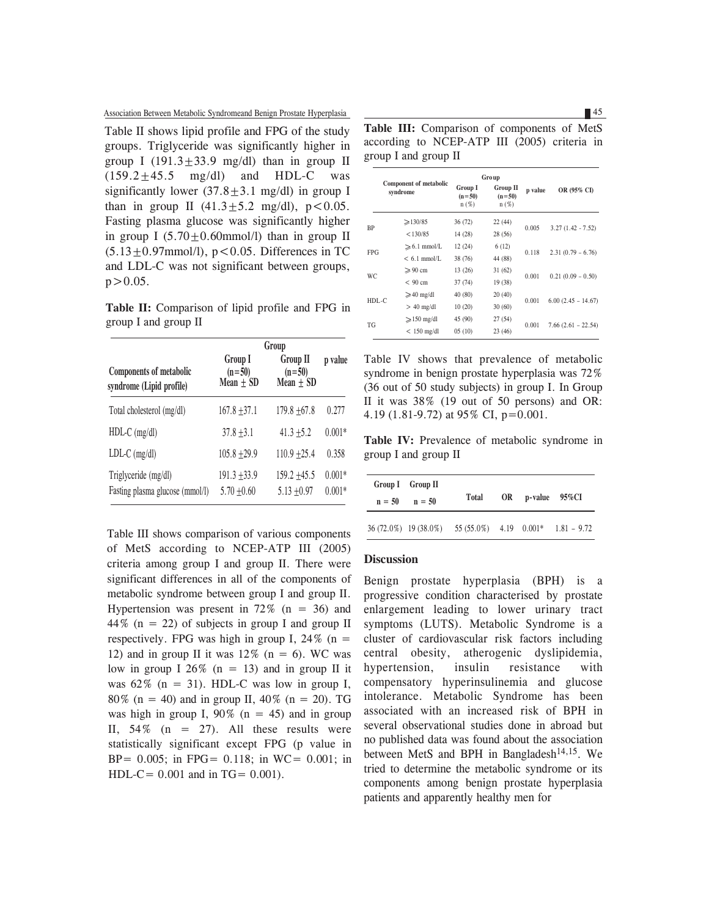Association Between Metabolic Syndromeand Benign Prostate Hyperplasia 45

Table II shows lipid profile and FPG of the study groups. Triglyceride was significantly higher in group I  $(191.3+33.9 \text{ mg/dl})$  than in group II  $(159.2 \pm 45.5 \text{ mg/dl})$  and HDL-C was significantly lower  $(37.8 \pm 3.1 \text{ mg/dl})$  in group I than in group II  $(41.3 \pm 5.2 \text{ mg/dl})$ , p < 0.05. Fasting plasma glucose was significantly higher in group I  $(5.70 \pm 0.60$ mmol/l) than in group II  $(5.13 \pm 0.97$ mmol/l), p < 0.05. Differences in TC and LDL-C was not significant between groups,  $p > 0.05$ .

**Table II:** Comparison of lipid profile and FPG in group I and group II

|                                                            | Group                                |                                       |                      |
|------------------------------------------------------------|--------------------------------------|---------------------------------------|----------------------|
| <b>Components of metabolic</b><br>syndrome (Lipid profile) | Group I<br>$(n=50)$<br>Mean $\pm$ SD | Group II<br>$(n=50)$<br>Mean $\pm$ SD | p value              |
| Total cholesterol (mg/dl)                                  | $167.8 \pm 37.1$                     | $179.8 \pm 67.8$                      | 0.277                |
| $HDL-C$ (mg/dl)                                            | $37.8 \pm 3.1$                       | $41.3 \pm 5.2$                        | $0.001*$             |
| $LDL-C$ (mg/dl)                                            | $105.8 \pm 29.9$                     | $110.9 + 25.4$                        | 0.358                |
| Triglyceride (mg/dl)<br>Fasting plasma glucose (mmol/l)    | $191.3 \pm 33.9$<br>$5.70 + 0.60$    | $159.2 + 45.5$<br>$5.13 \pm 0.97$     | $0.001*$<br>$0.001*$ |

Table III shows comparison of various components of MetS according to NCEP-ATP III (2005) criteria among group I and group II. There were significant differences in all of the components of metabolic syndrome between group I and group II. Hypertension was present in  $72\%$  (n = 36) and 44% ( $n = 22$ ) of subjects in group I and group II respectively. FPG was high in group I,  $24\%$  (n = 12) and in group II it was  $12\%$  (n = 6). WC was low in group I  $26\%$  (n = 13) and in group II it was  $62\%$  (n = 31). HDL-C was low in group I, 80% (n = 40) and in group II, 40% (n = 20). TG was high in group I,  $90\%$  (n = 45) and in group II,  $54\%$  (n = 27). All these results were statistically significant except FPG (p value in  $BP = 0.005$ ; in  $FPG = 0.118$ ; in  $WC = 0.001$ ; in  $HDL-C= 0.001$  and in TG= 0.001).

**Table III:** Comparison of components of MetS according to NCEP-ATP III (2005) criteria in group I and group II

|            | Component of metabolic<br>syndrome | Group I<br>$(n=50)$<br>$n(\%)$ | Gro up<br>Group II<br>$(n=50)$<br>$n(\%)$ | p value | OR (95% CI)          |  |
|------------|------------------------------------|--------------------------------|-------------------------------------------|---------|----------------------|--|
| <b>BP</b>  | $\geq 130/85$                      | 36(72)                         | 22(44)                                    |         |                      |  |
|            | < 130/85                           | 14 (28)                        | 28 (56)                                   | 0.005   | $3.27(1.42 - 7.52)$  |  |
| <b>FPG</b> | $\geq 6.1$ mmol/L                  | 12(24)                         | 6(12)                                     | 0.118   |                      |  |
|            | $< 6.1$ mmol/L                     | 38 (76)                        | 44 (88)                                   |         | $2.31(0.79 - 6.76)$  |  |
| WC         | $\geqslant 90$ cm                  | 13(26)                         | 31(62)                                    | 0.001   | $0.21(0.09 - 0.50)$  |  |
|            | $< 90$ cm                          | 37(74)                         | 19(38)                                    |         |                      |  |
| HDL-C      | $\geqslant$ 40 mg/dl               | 40 (80)                        | 20(40)                                    | 0.001   | $6.00(2.45 - 14.67)$ |  |
|            | $> 40$ mg/dl                       | 10(20)                         | 30(60)                                    |         |                      |  |
| TG         | $\geqslant$ 150 mg/dl              | 45 (90)                        | 27(54)                                    | 0.001   |                      |  |
|            | $< 150$ mg/dl                      | 05(10)                         | 23(46)                                    |         | $7.66(2.61 - 22.54)$ |  |

Table IV shows that prevalence of metabolic syndrome in benign prostate hyperplasia was 72% (36 out of 50 study subjects) in group I. In Group II it was 38% (19 out of 50 persons) and OR: 4.19 (1.81-9.72) at 95% CI,  $p=0.001$ .

**Table IV:** Prevalence of metabolic syndrome in group I and group II

| $n = 50$ | Group I Group II<br>$n = 50$ | Total                                                    | OR p-value 95%CI |  |
|----------|------------------------------|----------------------------------------------------------|------------------|--|
|          |                              | $36(72.0\%)$ 19(38.0%) 55(55.0%) 4.19 0.001* 1.81 - 9.72 |                  |  |

#### **Discussion**

Benign prostate hyperplasia (BPH) is a progressive condition characterised by prostate enlargement leading to lower urinary tract symptoms (LUTS). Metabolic Syndrome is a cluster of cardiovascular risk factors including central obesity, atherogenic dyslipidemia, hypertension, insulin resistance with compensatory hyperinsulinemia and glucose intolerance. Metabolic Syndrome has been associated with an increased risk of BPH in several observational studies done in abroad but no published data was found about the association between MetS and BPH in Bangladesh<sup>14,15</sup>. We tried to determine the metabolic syndrome or its components among benign prostate hyperplasia patients and apparently healthy men for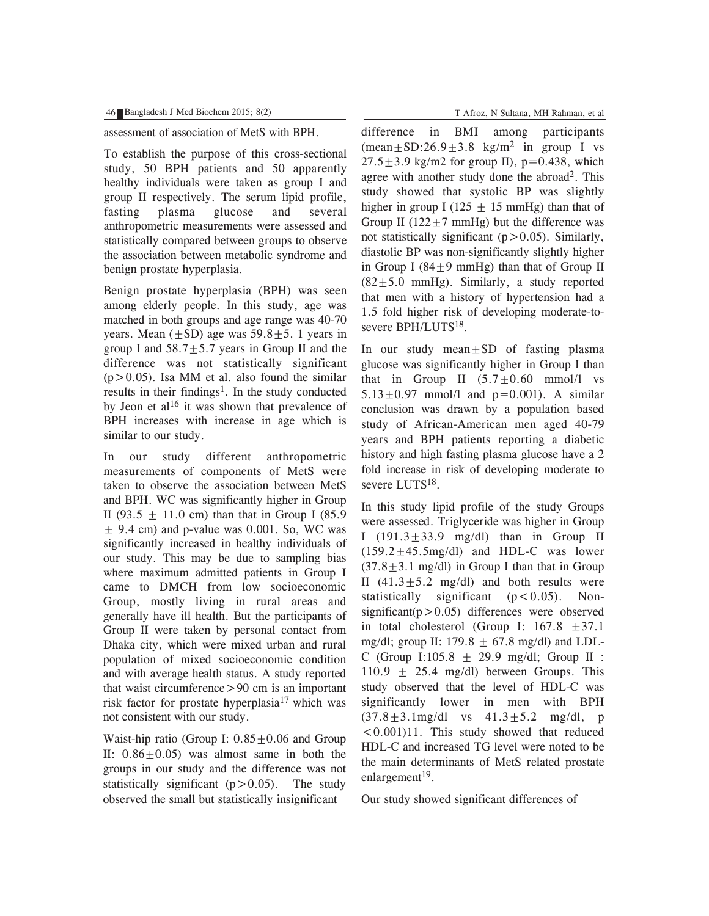46 Bangladesh J Med Biochem 2015; 8(2) T Afroz, N Sultana, MH Rahman, et al

assessment of association of MetS with BPH.

To establish the purpose of this cross-sectional study, 50 BPH patients and 50 apparently healthy individuals were taken as group I and group II respectively. The serum lipid profile, fasting plasma glucose and several anthropometric measurements were assessed and statistically compared between groups to observe the association between metabolic syndrome and benign prostate hyperplasia.

Benign prostate hyperplasia (BPH) was seen among elderly people. In this study, age was matched in both groups and age range was 40-70 years. Mean  $(\pm SD)$  age was 59.8 $\pm$ 5. 1 years in group I and  $58.7 \pm 5.7$  years in Group II and the difference was not statistically significant  $(p>0.05)$ . Isa MM et al. also found the similar results in their findings<sup>1</sup>. In the study conducted by Jeon et al<sup>16</sup> it was shown that prevalence of BPH increases with increase in age which is similar to our study.

In our study different anthropometric measurements of components of MetS were taken to observe the association between MetS and BPH. WC was significantly higher in Group II (93.5  $\pm$  11.0 cm) than that in Group I (85.9 ± 9.4 cm) and p-value was 0.001. So, WC was significantly increased in healthy individuals of our study. This may be due to sampling bias where maximum admitted patients in Group I came to DMCH from low socioeconomic Group, mostly living in rural areas and generally have ill health. But the participants of Group II were taken by personal contact from Dhaka city, which were mixed urban and rural population of mixed socioeconomic condition and with average health status. A study reported that waist circumference  $> 90$  cm is an important risk factor for prostate hyperplasia<sup>17</sup> which was not consistent with our study.

Waist-hip ratio (Group I:  $0.85 \pm 0.06$  and Group II:  $0.86 \pm 0.05$  was almost same in both the groups in our study and the difference was not statistically significant  $(p>0.05)$ . The study observed the small but statistically insignificant

difference in BMI among participants  $(\text{mean} \pm \text{SD}:26.9 \pm 3.8 \text{ kg/m}^2 \text{ in } \text{group } I \text{ vs }$  $27.5\pm3.9$  kg/m2 for group II), p=0.438, which agree with another study done the abroad<sup>2</sup>. This study showed that systolic BP was slightly higher in group I (125  $\pm$  15 mmHg) than that of Group II ( $122 \pm 7$  mmHg) but the difference was not statistically significant  $(p>0.05)$ . Similarly, diastolic BP was non-significantly slightly higher in Group I (84 $\pm$ 9 mmHg) than that of Group II  $(82 \pm 5.0 \text{ mmHg})$ . Similarly, a study reported that men with a history of hypertension had a 1.5 fold higher risk of developing moderate-tosevere BPH/LUTS<sup>18</sup>.

In our study mean $\pm$ SD of fasting plasma glucose was significantly higher in Group I than that in Group II  $(5.7 \pm 0.60 \text{ mm})$  vs 5.13 $\pm$ 0.97 mmol/l and p=0.001). A similar conclusion was drawn by a population based study of African-American men aged 40-79 years and BPH patients reporting a diabetic history and high fasting plasma glucose have a 2 fold increase in risk of developing moderate to severe LUTS<sup>18</sup>.

In this study lipid profile of the study Groups were assessed. Triglyceride was higher in Group I  $(191.3 \pm 33.9 \text{ mg/dl})$  than in Group II  $(159.2 \pm 45.5 \text{mg/dl})$  and HDL-C was lower  $(37.8 \pm 3.1 \text{ mg/dl})$  in Group I than that in Group II  $(41.3 \pm 5.2 \text{ mg/dl})$  and both results were statistically significant  $(p<0.05)$ . Nonsignificant( $p > 0.05$ ) differences were observed in total cholesterol (Group I:  $167.8 \pm 37.1$ mg/dl; group II: 179.8  $\pm$  67.8 mg/dl) and LDL-C (Group I:105.8  $\pm$  29.9 mg/dl; Group II : 110.9  $\pm$  25.4 mg/dl) between Groups. This study observed that the level of HDL-C was significantly lower in men with BPH  $(37.8 \pm 3.1 \text{mg/dl}$  vs  $41.3 \pm 5.2 \text{mg/dl}$ , p <0.001)11. This study showed that reduced HDL-C and increased TG level were noted to be the main determinants of MetS related prostate enlargement 19.

Our study showed significant differences of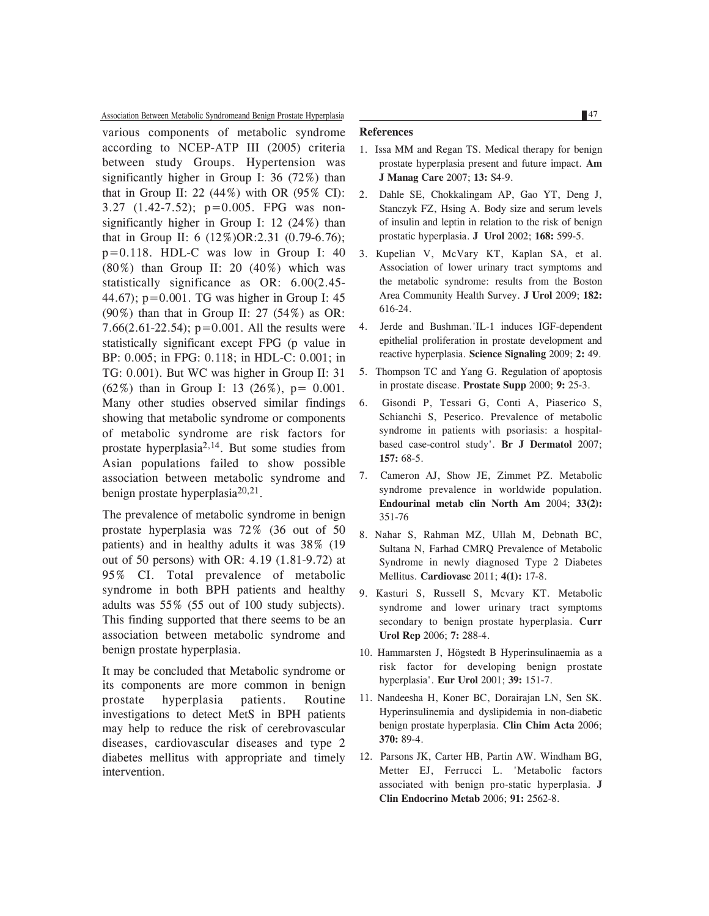Association Between Metabolic Syndromeand Benign Prostate Hyperplasia  $47$ 

various components of metabolic syndrome according to NCEP-ATP III (2005) criteria between study Groups. Hypertension was significantly higher in Group I: 36 (72%) than that in Group II: 22  $(44\%)$  with OR  $(95\%$  CI): 3.27 (1.42-7.52); p=0.005. FPG was nonsignificantly higher in Group I: 12 (24%) than that in Group II: 6 (12%)OR:2.31 (0.79-6.76);  $p=0.118$ . HDL-C was low in Group I: 40  $(80\%)$  than Group II: 20  $(40\%)$  which was statistically significance as OR: 6.00(2.45- 44.67); p=0.001. TG was higher in Group I: 45  $(90\%)$  than that in Group II: 27 (54%) as OR: 7.66(2.61-22.54); p=0.001. All the results were statistically significant except FPG (p value in BP: 0.005; in FPG: 0.118; in HDL-C: 0.001; in TG: 0.001). But WC was higher in Group II: 31 (62%) than in Group I: 13 (26%), p= 0.001. Many other studies observed similar findings showing that metabolic syndrome or components of metabolic syndrome are risk factors for prostate hyperplasia<sup>2,14</sup>. But some studies from Asian populations failed to show possible association between metabolic syndrome and benign prostate hyperplasia20,21.

The prevalence of metabolic syndrome in benign prostate hyperplasia was 72% (36 out of 50 patients) and in healthy adults it was 38% (19 out of 50 persons) with OR: 4.19 (1.81-9.72) at 95% CI. Total prevalence of metabolic syndrome in both BPH patients and healthy adults was 55% (55 out of 100 study subjects). This finding supported that there seems to be an association between metabolic syndrome and benign prostate hyperplasia.

It may be concluded that Metabolic syndrome or its components are more common in benign prostate hyperplasia patients. Routine investigations to detect MetS in BPH patients may help to reduce the risk of cerebrovascular diseases, cardiovascular diseases and type 2 diabetes mellitus with appropriate and timely intervention.

#### **References**

- 1. Issa MM and Regan TS. Medical therapy for benign prostate hyperplasia present and future impact. **Am J Manag Care** 2007; **13:** S4-9.
- 2. Dahle SE, Chokkalingam AP, Gao YT, Deng J, Stanczyk FZ, Hsing A. Body size and serum levels of insulin and leptin in relation to the risk of benign prostatic hyperplasia. **J Urol** 2002; **168:** 599-5.
- 3. Kupelian V, McVary KT, Kaplan SA, et al. Association of lower urinary tract symptoms and the metabolic syndrome: results from the Boston Area Community Health Survey. **J Urol** 2009; **182:** 616-24.
- 4. Jerde and Bushman.'IL-1 induces IGF-dependent epithelial proliferation in prostate development and reactive hyperplasia. **Science Signaling** 2009; **2:** 49.
- 5. Thompson TC and Yang G. Regulation of apoptosis in prostate disease. **Prostate Supp** 2000; **9:** 25-3.
- 6. Gisondi P, Tessari G, Conti A, Piaserico S, Schianchi S, Peserico. Prevalence of metabolic syndrome in patients with psoriasis: a hospitalbased case-control study'. **Br J Dermatol** 2007; **157:** 68-5.
- 7. Cameron AJ, Show JE, Zimmet PZ. Metabolic syndrome prevalence in worldwide population. **Endourinal metab clin North Am** 2004; **33(2):** 351-76
- 8. Nahar S, Rahman MZ, Ullah M, Debnath BC, Sultana N, Farhad CMRQ Prevalence of Metabolic Syndrome in newly diagnosed Type 2 Diabetes Mellitus. **Cardiovasc** 2011; **4(1):** 17-8.
- 9. Kasturi S, Russell S, Mcvary KT. Metabolic syndrome and lower urinary tract symptoms secondary to benign prostate hyperplasia. **Curr Urol Rep** 2006; **7:** 288-4.
- 10. Hammarsten J, Högstedt B Hyperinsulinaemia as a risk factor for developing benign prostate hyperplasia'. **Eur Urol** 2001; **39:** 151-7.
- 11. Nandeesha H, Koner BC, Dorairajan LN, Sen SK. Hyperinsulinemia and dyslipidemia in non-diabetic benign prostate hyperplasia. **Clin Chim Acta** 2006; **370:** 89-4.
- 12. Parsons JK, Carter HB, Partin AW. Windham BG, Metter EJ, Ferrucci L. 'Metabolic factors associated with benign pro-static hyperplasia. **J Clin Endocrino Metab** 2006; **91:** 2562-8.